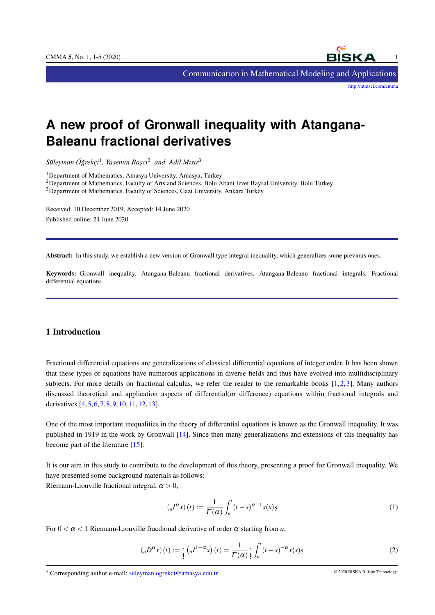

Communication in Mathematical Modeling and Applications

<http://ntmsci.com/cmma>

# **A new proof of Gronwall inequality with Atangana-Baleanu fractional derivatives**

*Suleyman ¨ O¨ grekc¸i ˘* 1 *, Yasemin Bas¸cı*<sup>2</sup> *and Adil Mısır*<sup>3</sup>

<sup>1</sup>Department of Mathematics, Amasya University, Amasya, Turkey

<sup>2</sup>Department of Mathematics, Faculty of Arts and Sciences, Bolu Abant Izzet Baysal University, Bolu Turkey

<sup>3</sup>Department of Mathematics, Faculty of Sciences, Gazi University, Ankara Turkey

Received: 10 December 2019, Accepted: 14 June 2020 Published online: 24 June 2020

Abstract: In this study, we establish a new version of Gronwall type integral inequality, which generalizes some previous ones.

Keywords: Gronwall inequality, Atangana-Baleanu fractional derivatives, Atangana-Baleanu fractional integrals, Fractional differential equations

## 1 Introduction

Fractional differential equations are generalizations of classical differential equations of integer order. It has been shown that these types of equations have numerous applications in diverse fields and thus have evolved into multidisciplinary subjects. For more details on fractional calculus, we refer the reader to the remarkable books [\[1,](#page-4-0)[2,](#page-4-1)[3\]](#page-4-2). Many authors discussed theoretical and application aspects of differential(or difference) equations within fractional integrals and derivatives [\[4,](#page-4-3)[5,](#page-4-4)[6,](#page-4-5)[7,](#page-4-6)[8,](#page-4-7)[9,](#page-4-8)[10,](#page-4-9)[11,](#page-4-10)[12,](#page-4-11)[13\]](#page-4-12).

One of the most important inequalities in the theory of differential equations is known as the Gronwall inequality. It was published in 1919 in the work by Gronwall [\[14\]](#page-4-13). Since then many generalizations and extensions of this inequality has become part of the literature [\[15\]](#page-4-14).

It is our aim in this study to contribute to the development of this theory, presenting a proof for Gronwall inequality. We have presented some background materials as follows: Riemann-Liouville fractional integral,  $\alpha > 0$ ,

<span id="page-0-0"></span>
$$
\left({}_{a}I^{\alpha}x\right)(t) := \frac{1}{\Gamma(\alpha)} \int_{a}^{t} (t-s)^{\alpha-1} x(s) s
$$
\n<sup>(1)</sup>

For  $0 < \alpha < 1$  Riemann-Liouville fracdional derivative of order  $\alpha$  starting from a,

$$
\left({}_{a}D^{\alpha}x\right)(t) := \frac{1}{t}\left({}_{a}I^{1-\alpha}x\right)(t) = \frac{1}{\Gamma(\alpha)}\frac{1}{t}\int_{a}^{t}\left(t-s\right)^{-\alpha}x(s)\varsigma\tag{2}
$$

<sup>∗</sup> Corresponding author e-mail: suleyman.ogrekci@amasya.edu.tr © 2020 BISKA Bilisim Technology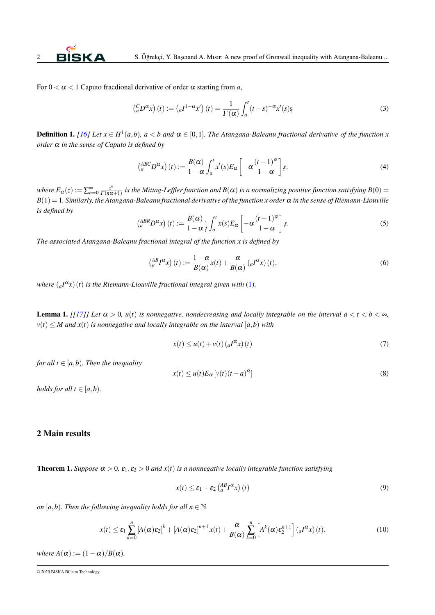For  $0 < \alpha < 1$  Caputo fracdional derivative of order  $\alpha$  starting from a,

$$
\left(\begin{array}{c}C_{a}D^{\alpha}x\end{array}\right)(t) := \left(aI^{1-\alpha}x'\right)(t) = \frac{1}{\Gamma(\alpha)}\int_{a}^{t}\left(t-s\right)^{-\alpha}x'(s)s
$$
\n(3)

**Definition 1.** [\[16\]](#page-4-15) Let  $x \in H^1(a,b)$ ,  $a < b$  and  $\alpha \in [0,1]$ . The Atangana-Baleanu fractional derivative of the function x *order* α *in the sense of Caputo is defined by*

$$
\left(\begin{array}{c} ABCD^{\alpha}x \end{array}\right)(t) := \frac{B(\alpha)}{1-\alpha} \int_{a}^{t} x'(s) E_{\alpha} \left[ -\alpha \frac{(t-1)^{\alpha}}{1-\alpha} \right] s,
$$
\n(4)

*where E* $_{\alpha}(z) := \sum_{n=0}^{\infty} \frac{z^n}{\Gamma(n\alpha)}$  $\frac{z^n}{\Gamma(n\alpha+1)}$  is the Mittag-Leffler function and  $B(\alpha)$  is a normalizing positive function satisfying  $B(0)$  = *B*(1) = 1*. Similarly, the Atangana-Baleanu fractional derivative of the function x order* α *in the sense of Riemann-Liouville is defined by*

$$
\left(\begin{array}{c} ABR_D \alpha_X \end{array}\right)(t) := \frac{B(\alpha)}{1 - \alpha} \frac{1}{t} \int_a^t x(s) E_\alpha \left[ -\alpha \frac{(t-1)^\alpha}{1 - \alpha} \right] s. \tag{5}
$$

*The associated Atangana-Baleanu fractional integral of the function x is defined by*

<span id="page-1-0"></span>
$$
\left(\begin{array}{c} AB \, I^{\alpha}x \end{array}\right)(t) := \frac{1 - \alpha}{B(\alpha)} x(t) + \frac{\alpha}{B(\alpha)} \left(I^{\alpha}x\right)(t),\tag{6}
$$

where  $({}_{a}I^{\alpha}x)(t)$  is the Riemann-Liouville fractional integral given with [\(1\)](#page-0-0).

<span id="page-1-3"></span>**Lemma 1.** [[\[17\]](#page-4-16)] Let  $\alpha > 0$ ,  $u(t)$  is nonnegative, nondecreasing and locally integrable on the interval  $a < t < b < \infty$ ,  $v(t) \leq M$  and  $x(t)$  is nonnegative and locally integrable on the interval [a, b] with

$$
x(t) \le u(t) + v(t) \left( a^{\alpha} x \right)(t) \tag{7}
$$

*for all*  $t \in [a, b)$ *. Then the inequality* 

$$
x(t) \le u(t)E_{\alpha}[v(t)(t-a)^{\alpha}]
$$
\n(8)

*holds for all*  $t \in [a, b)$ *.* 

#### 2 Main results

<span id="page-1-4"></span>**Theorem 1.** *Suppose*  $\alpha > 0$ ,  $\varepsilon_1$ ,  $\varepsilon_2 > 0$  *and*  $x(t)$  *is a nonnegative locally integrable function satisfying* 

<span id="page-1-2"></span><span id="page-1-1"></span>
$$
x(t) \le \varepsilon_1 + \varepsilon_2 \left(\substack{AB \ R^2} \right)(t) \tag{9}
$$

*on* [ $a$ , $b$ ). Then the following inequality holds for all  $n \in \mathbb{N}$ 

$$
x(t) \leq \varepsilon_1 \sum_{k=0}^n \left[ A(\alpha) \varepsilon_2 \right]^k + \left[ A(\alpha) \varepsilon_2 \right]^{n+1} x(t) + \frac{\alpha}{B(\alpha)} \sum_{k=0}^n \left[ A^k(\alpha) \varepsilon_2^{k+1} \right] \left( _{a} I^{\alpha} x \right)(t), \tag{10}
$$

*where*  $A(\alpha) := (1 - \alpha)/B(\alpha)$ .

<sup>© 2020</sup> BISKA Bilisim Technology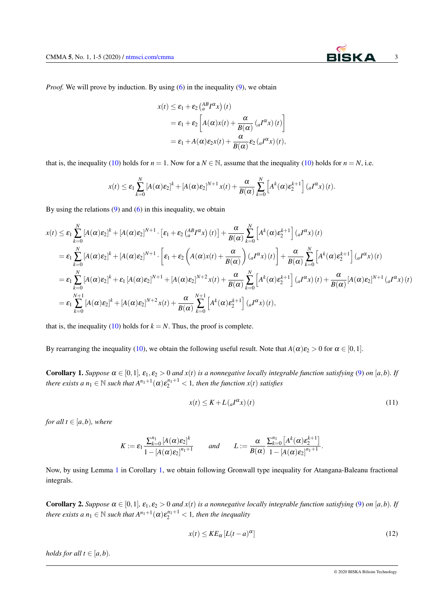

*Proof.* We will prove by induction. By using [\(6\)](#page-1-0) in the inequality [\(9\)](#page-1-1), we obtain

$$
x(t) \leq \varepsilon_1 + \varepsilon_2 \left( \frac{AB}{a} I^{\alpha} x \right)(t)
$$
  
=  $\varepsilon_1 + \varepsilon_2 \left[ A(\alpha) x(t) + \frac{\alpha}{B(\alpha)} \left( aI^{\alpha} x \right)(t) \right]$   
=  $\varepsilon_1 + A(\alpha) \varepsilon_2 x(t) + \frac{\alpha}{B(\alpha)} \varepsilon_2 \left( aI^{\alpha} x \right)(t),$ 

that is, the inequality [\(10\)](#page-1-2) holds for  $n = 1$ . Now for a  $N \in \mathbb{N}$ , assume that the inequality (10) holds for  $n = N$ , i.e.

$$
x(t) \leq \varepsilon_1 \sum_{k=0}^N \left[A(\alpha)\varepsilon_2\right]^k + \left[A(\alpha)\varepsilon_2\right]^{N+1} x(t) + \frac{\alpha}{B(\alpha)} \sum_{k=0}^N \left[A^k(\alpha)\varepsilon_2^{k+1}\right] \left(aI^{\alpha}x\right)(t).
$$

By using the relations  $(9)$  and  $(6)$  in this inequality, we obtain

$$
x(t) \leq \varepsilon_{1} \sum_{k=0}^{N} \left[ A(\alpha) \varepsilon_{2} \right]^{k} + \left[ A(\alpha) \varepsilon_{2} \right]^{N+1} \cdot \left[ \varepsilon_{1} + \varepsilon_{2} \left( \frac{AB}{a} I^{\alpha} x \right) (t) \right] + \frac{\alpha}{B(\alpha)} \sum_{k=0}^{N} \left[ A^{k}(\alpha) \varepsilon_{2}^{k+1} \right] ({}_{a} I^{\alpha} x) (t)
$$
  
\n
$$
= \varepsilon_{1} \sum_{k=0}^{N} \left[ A(\alpha) \varepsilon_{2} \right]^{k} + \left[ A(\alpha) \varepsilon_{2} \right]^{N+1} \cdot \left[ \varepsilon_{1} + \varepsilon_{2} \left( A(\alpha) x(t) + \frac{\alpha}{B(\alpha)} \right) ({}_{a} I^{\alpha} x) (t) \right] + \frac{\alpha}{B(\alpha)} \sum_{k=0}^{N} \left[ A^{k}(\alpha) \varepsilon_{2}^{k+1} \right] ({}_{a} I^{\alpha} x) (t)
$$
  
\n
$$
= \varepsilon_{1} \sum_{k=0}^{N} \left[ A(\alpha) \varepsilon_{2} \right]^{k} + \varepsilon_{1} \left[ A(\alpha) \varepsilon_{2} \right]^{N+1} + \left[ A(\alpha) \varepsilon_{2} \right]^{N+2} x(t) + \frac{\alpha}{B(\alpha)} \sum_{k=0}^{N} \left[ A^{k}(\alpha) \varepsilon_{2}^{k+1} \right] ({}_{a} I^{\alpha} x) (t) + \frac{\alpha}{B(\alpha)} \left[ A(\alpha) \varepsilon_{2} \right]^{N+1} ({}_{a} I^{\alpha} x) (t)
$$
  
\n
$$
= \varepsilon_{1} \sum_{k=0}^{N+1} \left[ A(\alpha) \varepsilon_{2} \right]^{k} + \left[ A(\alpha) \varepsilon_{2} \right]^{N+2} x(t) + \frac{\alpha}{B(\alpha)} \sum_{k=0}^{N+1} \left[ A^{k}(\alpha) \varepsilon_{2}^{k+1} \right] ({}_{a} I^{\alpha} x) (t),
$$

that is, the inequality [\(10\)](#page-1-2) holds for  $k = N$ . Thus, the proof is complete.

<span id="page-2-0"></span>By rearranging the inequality [\(10\)](#page-1-2), we obtain the following useful result. Note that  $A(\alpha)\varepsilon_2 > 0$  for  $\alpha \in [0,1]$ .

**Corollary 1.** *Suppose*  $\alpha \in [0,1]$ *,*  $\varepsilon_1$ *,* $\varepsilon_2 > 0$  *and*  $x(t)$  *is a nonnegative locally integrable function satisfying* [\(9\)](#page-1-1) *on* [*a,b*)*.* If *there exists a*  $n_1 \in \mathbb{N}$  *such that*  $A^{n_1+1}(\alpha)\varepsilon_2^{n_1+1} < 1$ *, then the function*  $x(t)$  *satisfies* 

$$
x(t) \le K + L\left(\frac{d^{\alpha}x}{t}\right)(t) \tag{11}
$$

*for all*  $t \in [a, b)$ *, where* 

$$
K := \varepsilon_1 \frac{\sum_{k=0}^{n_1} \left[A(\alpha)\varepsilon_2\right]^k}{1 - \left[A(\alpha)\varepsilon_2\right]^{n_1+1}} \quad \text{and} \quad L := \frac{\alpha}{B(\alpha)} \frac{\sum_{k=0}^{n_1} \left[A^k(\alpha)\varepsilon_2^{k+1}\right]}{1 - \left[A(\alpha)\varepsilon_2\right]^{n_1+1}}.
$$

Now, by using Lemma [1](#page-1-3) in Corollary [1,](#page-2-0) we obtain following Gronwall type inequality for Atangana-Baleanu fractional integrals.

<span id="page-2-1"></span>**Corollary 2.** Suppose  $\alpha \in [0,1]$ ,  $\varepsilon_1, \varepsilon_2 > 0$  and  $x(t)$  is a nonnegative locally integrable function satisfying [\(9\)](#page-1-1) on [a,b). If *there exists a*  $n_1 \in \mathbb{N}$  *such that*  $A^{n_1+1}(\alpha)\varepsilon_2^{n_1+1} < 1$ *, then the inequality* 

$$
x(t) \le KE_{\alpha} \left[ L(t-a)^{\alpha} \right] \tag{12}
$$

*holds for all t*  $\in$  [ $a$ , $b$ ).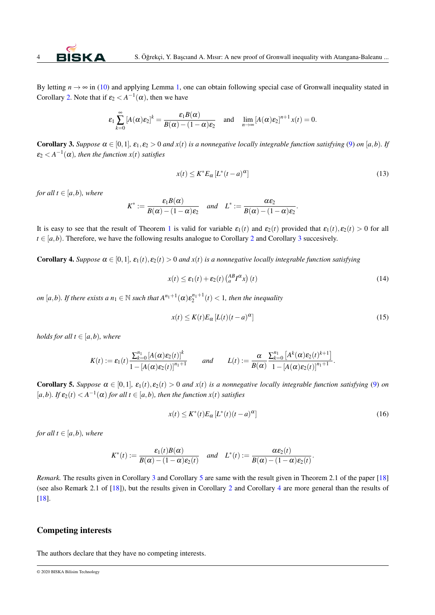By letting  $n \to \infty$  in [\(10\)](#page-1-2) and applying Lemma [1,](#page-1-3) one can obtain following special case of Gronwall inequality stated in Corollary [2.](#page-2-1) Note that if  $\varepsilon_2 < A^{-1}(\alpha)$ , then we have

$$
\varepsilon_1 \sum_{k=0}^{\infty} \left[ A(\alpha) \varepsilon_2 \right]^k = \frac{\varepsilon_1 B(\alpha)}{B(\alpha) - (1 - \alpha) \varepsilon_2} \quad \text{and} \quad \lim_{n \to \infty} \left[ A(\alpha) \varepsilon_2 \right]^{n+1} x(t) = 0.
$$

<span id="page-3-0"></span>**Corollary 3.** Suppose  $\alpha \in [0,1]$ ,  $\varepsilon_1, \varepsilon_2 > 0$  and  $x(t)$  is a nonnegative locally integrable function satisfying [\(9\)](#page-1-1) on [a,b). If  $\varepsilon_2 < A^{-1}(\alpha)$ , then the function  $x(t)$  satisfies

$$
x(t) \le K^* E_{\alpha} \left[ L^*(t-a)^{\alpha} \right] \tag{13}
$$

.

*for all*  $t \in [a, b)$ *, where* 

$$
K^* := \frac{\varepsilon_1 B(\alpha)}{B(\alpha) - (1 - \alpha)\varepsilon_2} \quad \text{and} \quad L^* := \frac{\alpha \varepsilon_2}{B(\alpha) - (1 - \alpha)\varepsilon_2}
$$

It is easy to see that the result of Theorem [1](#page-1-4) is valid for variable  $\varepsilon_1(t)$  and  $\varepsilon_2(t)$  provided that  $\varepsilon_1(t), \varepsilon_2(t) > 0$  for all  $t \in [a, b)$ . Therefore, we have the following results analogue to Corollary [2](#page-2-1) and Corollary [3](#page-3-0) succesively.

<span id="page-3-2"></span>**Corollary 4.** *Suppose*  $\alpha \in [0,1]$ ,  $\varepsilon_1(t)$ ,  $\varepsilon_2(t) > 0$  *and*  $x(t)$  *is a nonnegative locally integrable function satisfying* 

$$
x(t) \le \varepsilon_1(t) + \varepsilon_2(t) \left(\substack{AB \ R^2} \right)(t) \tag{14}
$$

*on* [a,b). If there exists a  $n_1 \in \mathbb{N}$  such that  $A^{n_1+1}(\alpha)\varepsilon_2^{n_1+1}(t) < 1$ , then the inequality

$$
x(t) \le K(t)E_{\alpha}\left[L(t)(t-a)^{\alpha}\right]
$$
\n(15)

*holds for all t*  $\in$  [ $a$ *,*  $b$ )*, where* 

$$
K(t) := \varepsilon_1(t) \frac{\sum_{k=0}^{n_1} [A(\alpha)\varepsilon_2(t)]^k}{1 - [A(\alpha)\varepsilon_2(t)]^{n_1+1}} \quad \text{and} \quad L(t) := \frac{\alpha}{B(\alpha)} \frac{\sum_{k=0}^{n_1} [A^k(\alpha)\varepsilon_2(t)^{k+1}]}{1 - [A(\alpha)\varepsilon_2(t)]^{n_1+1}}.
$$

<span id="page-3-1"></span>**Corollary 5.** Suppose  $\alpha \in [0,1]$ ,  $\varepsilon_1(t), \varepsilon_2(t) > 0$  and  $x(t)$  is a nonnegative locally integrable function satisfying [\(9\)](#page-1-1) on  $[a,b)$ *. If*  $\varepsilon_2(t) < A^{-1}(\alpha)$  for all  $t \in [a,b)$ *, then the function*  $x(t)$  *satisfies* 

$$
x(t) \le K^*(t) E_{\alpha} \left[ L^*(t) (t - a)^{\alpha} \right] \tag{16}
$$

*for all*  $t \in [a, b)$ *, where* 

$$
K^*(t) := \frac{\varepsilon_1(t)B(\alpha)}{B(\alpha) - (1 - \alpha)\varepsilon_2(t)} \quad \text{and} \quad L^*(t) := \frac{\alpha \varepsilon_2(t)}{B(\alpha) - (1 - \alpha)\varepsilon_2(t)}.
$$

*Remark.* The results given in Corollary [3](#page-3-0) and Corollary [5](#page-3-1) are same with the result given in Theorem 2.1 of the paper [\[18\]](#page-4-17) (see also Remark 2.1 of [\[18\]](#page-4-17)), but the results given in Corollary [2](#page-2-1) and Corollary [4](#page-3-2) are more general than the results of [\[18\]](#page-4-17).

### Competing interests

The authors declare that they have no competing interests.

© 2020 BISKA Bilisim Technology